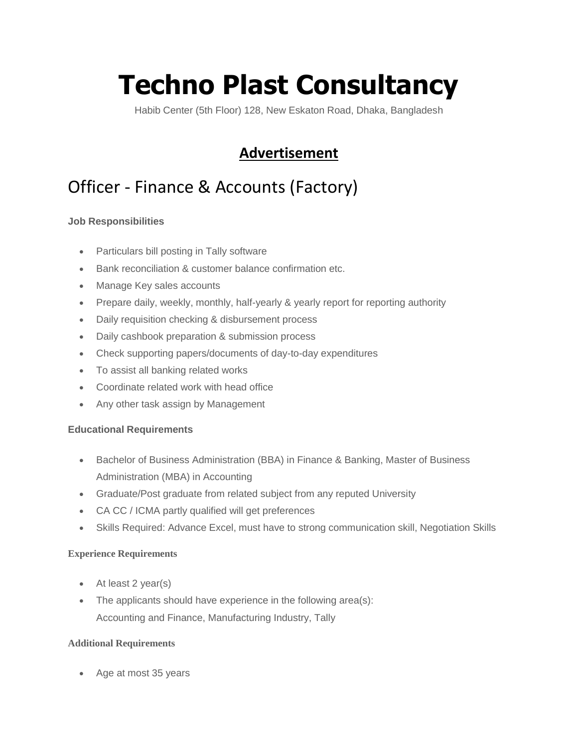# **Techno Plast Consultancy**

Habib Center (5th Floor) 128, New Eskaton Road, Dhaka, Bangladesh

### **Advertisement**

## Officer - Finance & Accounts (Factory)

#### **Job Responsibilities**

- Particulars bill posting in Tally software
- Bank reconciliation & customer balance confirmation etc.
- Manage Key sales accounts
- Prepare daily, weekly, monthly, half-yearly & yearly report for reporting authority
- Daily requisition checking & disbursement process
- Daily cashbook preparation & submission process
- Check supporting papers/documents of day-to-day expenditures
- To assist all banking related works
- Coordinate related work with head office
- Any other task assign by Management

#### **Educational Requirements**

- Bachelor of Business Administration (BBA) in Finance & Banking, Master of Business Administration (MBA) in Accounting
- Graduate/Post graduate from related subject from any reputed University
- CA CC / ICMA partly qualified will get preferences
- Skills Required: Advance Excel, must have to strong communication skill, Negotiation Skills

#### **Experience Requirements**

- At least 2 year(s)
- The applicants should have experience in the following area(s): Accounting and Finance, Manufacturing Industry, Tally

#### **Additional Requirements**

Age at most 35 years